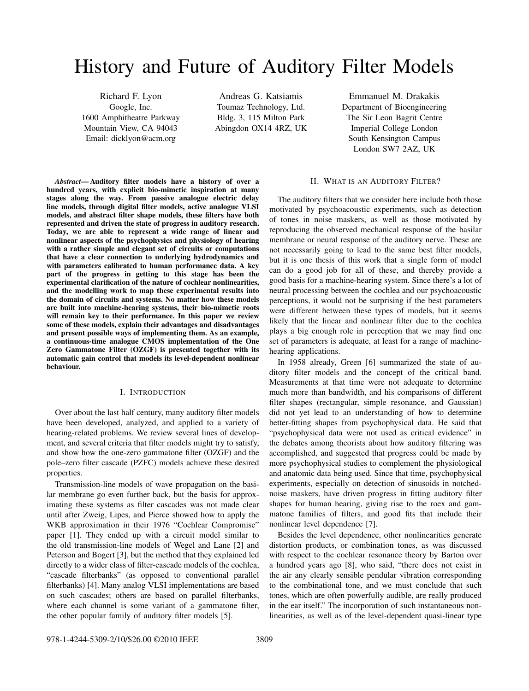# History and Future of Auditory Filter Models

Richard F. Lyon Google, Inc. 1600 Amphitheatre Parkway Mountain View, CA 94043 Email: dicklyon@acm.org

Andreas G. Katsiamis Toumaz Technology, Ltd. Bldg. 3, 115 Milton Park Abingdon OX14 4RZ, UK

Emmanuel M. Drakakis Department of Bioengineering The Sir Leon Bagrit Centre Imperial College London South Kensington Campus London SW7 2AZ, UK

*Abstract*— Auditory filter models have a history of over a hundred years, with explicit bio-mimetic inspiration at many stages along the way. From passive analogue electric delay line models, through digital filter models, active analogue VLSI models, and abstract filter shape models, these filters have both represented and driven the state of progress in auditory research. Today, we are able to represent a wide range of linear and nonlinear aspects of the psychophysics and physiology of hearing with a rather simple and elegant set of circuits or computations that have a clear connection to underlying hydrodynamics and with parameters calibrated to human performance data. A key part of the progress in getting to this stage has been the experimental clarification of the nature of cochlear nonlinearities, and the modelling work to map these experimental results into the domain of circuits and systems. No matter how these models are built into machine-hearing systems, their bio-mimetic roots will remain key to their performance. In this paper we review some of these models, explain their advantages and disadvantages and present possible ways of implementing them. As an example, a continuous-time analogue CMOS implementation of the One Zero Gammatone Filter (OZGF) is presented together with its automatic gain control that models its level-dependent nonlinear behaviour.

# I. INTRODUCTION

Over about the last half century, many auditory filter models have been developed, analyzed, and applied to a variety of hearing-related problems. We review several lines of development, and several criteria that filter models might try to satisfy, and show how the one-zero gammatone filter (OZGF) and the pole–zero filter cascade (PZFC) models achieve these desired properties.

Transmission-line models of wave propagation on the basilar membrane go even further back, but the basis for approximating these systems as filter cascades was not made clear until after Zweig, Lipes, and Pierce showed how to apply the WKB approximation in their 1976 "Cochlear Compromise" paper [1]. They ended up with a circuit model similar to the old transmission-line models of Wegel and Lane [2] and Peterson and Bogert [3], but the method that they explained led directly to a wider class of filter-cascade models of the cochlea, "cascade filterbanks" (as opposed to conventional parallel filterbanks) [4]. Many analog VLSI implementations are based on such cascades; others are based on parallel filterbanks, where each channel is some variant of a gammatone filter, the other popular family of auditory filter models [5].

# II. WHAT IS AN AUDITORY FILTER?

The auditory filters that we consider here include both those motivated by psychoacoustic experiments, such as detection of tones in noise maskers, as well as those motivated by reproducing the observed mechanical response of the basilar membrane or neural response of the auditory nerve. These are not necessarily going to lead to the same best filter models, but it is one thesis of this work that a single form of model can do a good job for all of these, and thereby provide a good basis for a machine-hearing system. Since there's a lot of neural processing between the cochlea and our psychoacoustic perceptions, it would not be surprising if the best parameters were different between these types of models, but it seems likely that the linear and nonlinear filter due to the cochlea plays a big enough role in perception that we may find one set of parameters is adequate, at least for a range of machinehearing applications.

In 1958 already, Green [6] summarized the state of auditory filter models and the concept of the critical band. Measurements at that time were not adequate to determine much more than bandwidth, and his comparisons of different filter shapes (rectangular, simple resonance, and Gaussian) did not yet lead to an understanding of how to determine better-fitting shapes from psychophysical data. He said that "psychophysical data were not used as critical evidence" in the debates among theorists about how auditory filtering was accomplished, and suggested that progress could be made by more psychophysical studies to complement the physiological and anatomic data being used. Since that time, psychophysical experiments, especially on detection of sinusoids in notchednoise maskers, have driven progress in fitting auditory filter shapes for human hearing, giving rise to the roex and gammatone families of filters, and good fits that include their nonlinear level dependence [7].

Besides the level dependence, other nonlinearities generate distortion products, or combination tones, as was discussed with respect to the cochlear resonance theory by Barton over a hundred years ago [8], who said, "there does not exist in the air any clearly sensible pendular vibration corresponding to the combinational tone, and we must conclude that such tones, which are often powerfully audible, are really produced in the ear itself." The incorporation of such instantaneous nonlinearities, as well as of the level-dependent quasi-linear type

978-1-4244-5309-2/10/\$26.00 ©2010 IEEE 3809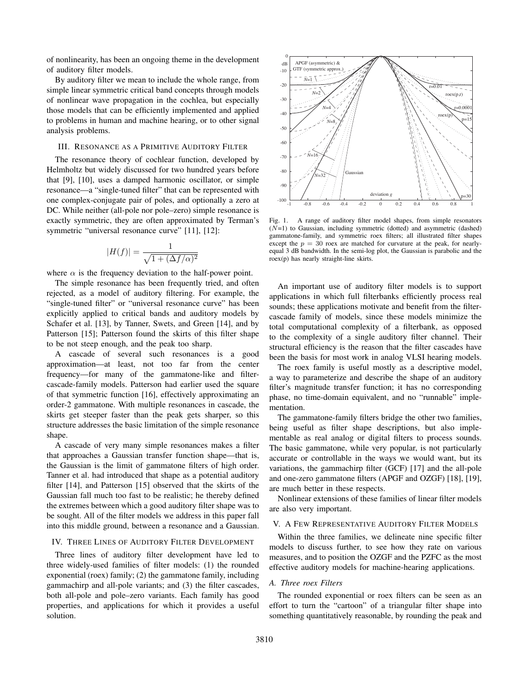of nonlinearity, has been an ongoing theme in the development of auditory filter models.

By auditory filter we mean to include the whole range, from simple linear symmetric critical band concepts through models of nonlinear wave propagation in the cochlea, but especially those models that can be efficiently implemented and applied to problems in human and machine hearing, or to other signal analysis problems.

# III. RESONANCE AS A PRIMITIVE AUDITORY FILTER

The resonance theory of cochlear function, developed by Helmholtz but widely discussed for two hundred years before that [9], [10], uses a damped harmonic oscillator, or simple resonance—a "single-tuned filter" that can be represented with one complex-conjugate pair of poles, and optionally a zero at DC. While neither (all-pole nor pole–zero) simple resonance is exactly symmetric, they are often approximated by Terman's symmetric "universal resonance curve" [11], [12]:

$$
|H(f)| = \frac{1}{\sqrt{1 + (\Delta f/\alpha)^2}}
$$

where  $\alpha$  is the frequency deviation to the half-power point.

The simple resonance has been frequently tried, and often rejected, as a model of auditory filtering. For example, the "single-tuned filter" or "universal resonance curve" has been explicitly applied to critical bands and auditory models by Schafer et al. [13], by Tanner, Swets, and Green [14], and by Patterson [15]; Patterson found the skirts of this filter shape to be not steep enough, and the peak too sharp.

A cascade of several such resonances is a good approximation—at least, not too far from the center frequency—for many of the gammatone-like and filtercascade-family models. Patterson had earlier used the square of that symmetric function [16], effectively approximating an order-2 gammatone. With multiple resonances in cascade, the skirts get steeper faster than the peak gets sharper, so this structure addresses the basic limitation of the simple resonance shape.

A cascade of very many simple resonances makes a filter that approaches a Gaussian transfer function shape—that is, the Gaussian is the limit of gammatone filters of high order. Tanner et al. had introduced that shape as a potential auditory filter [14], and Patterson [15] observed that the skirts of the Gaussian fall much too fast to be realistic; he thereby defined the extremes between which a good auditory filter shape was to be sought. All of the filter models we address in this paper fall into this middle ground, between a resonance and a Gaussian.

#### IV. THREE LINES OF AUDITORY FILTER DEVELOPMENT

Three lines of auditory filter development have led to three widely-used families of filter models: (1) the rounded exponential (roex) family; (2) the gammatone family, including gammachirp and all-pole variants; and (3) the filter cascades, both all-pole and pole–zero variants. Each family has good properties, and applications for which it provides a useful solution.



Fig. 1. A range of auditory filter model shapes, from simple resonators (*N*=1) to Gaussian, including symmetric (dotted) and asymmetric (dashed) gammatone-family, and symmetric roex filters; all illustrated filter shapes except the  $p = 30$  roex are matched for curvature at the peak, for nearlyequal 3 dB bandwidth. In the semi-log plot, the Gaussian is parabolic and the roex(p) has nearly straight-line skirts.

An important use of auditory filter models is to support applications in which full filterbanks efficiently process real sounds; these applications motivate and benefit from the filtercascade family of models, since these models minimize the total computational complexity of a filterbank, as opposed to the complexity of a single auditory filter channel. Their structural efficiency is the reason that the filter cascades have been the basis for most work in analog VLSI hearing models.

The roex family is useful mostly as a descriptive model, a way to parameterize and describe the shape of an auditory filter's magnitude transfer function; it has no corresponding phase, no time-domain equivalent, and no "runnable" implementation.

The gammatone-family filters bridge the other two families, being useful as filter shape descriptions, but also implementable as real analog or digital filters to process sounds. The basic gammatone, while very popular, is not particularly accurate or controllable in the ways we would want, but its variations, the gammachirp filter (GCF) [17] and the all-pole and one-zero gammatone filters (APGF and OZGF) [18], [19], are much better in these respects.

Nonlinear extensions of these families of linear filter models are also very important.

#### V. A FEW REPRESENTATIVE AUDITORY FILTER MODELS

Within the three families, we delineate nine specific filter models to discuss further, to see how they rate on various measures, and to position the OZGF and the PZFC as the most effective auditory models for machine-hearing applications.

#### *A. Three roex Filters*

The rounded exponential or roex filters can be seen as an effort to turn the "cartoon" of a triangular filter shape into something quantitatively reasonable, by rounding the peak and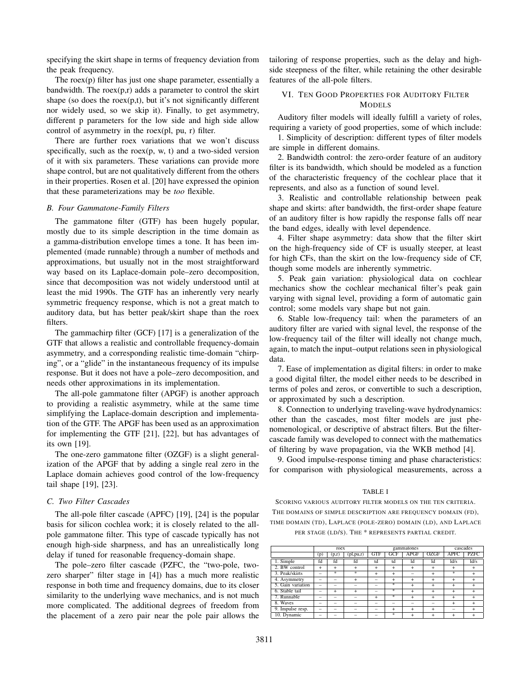specifying the skirt shape in terms of frequency deviation from the peak frequency.

The roex(p) filter has just one shape parameter, essentially a bandwidth. The roex $(p,r)$  adds a parameter to control the skirt shape (so does the roex $(p,t)$ , but it's not significantly different nor widely used, so we skip it). Finally, to get asymmetry, different p parameters for the low side and high side allow control of asymmetry in the roex(pl, pu, r) filter.

There are further roex variations that we won't discuss specifically, such as the roex $(p, w, t)$  and a two-sided version of it with six parameters. These variations can provide more shape control, but are not qualitatively different from the others in their properties. Rosen et al. [20] have expressed the opinion that these parameterizations may be *too* flexible.

## *B. Four Gammatone-Family Filters*

The gammatone filter (GTF) has been hugely popular, mostly due to its simple description in the time domain as a gamma-distribution envelope times a tone. It has been implemented (made runnable) through a number of methods and approximations, but usually not in the most straightforward way based on its Laplace-domain pole–zero decomposition, since that decomposition was not widely understood until at least the mid 1990s. The GTF has an inherently very nearly symmetric frequency response, which is not a great match to auditory data, but has better peak/skirt shape than the roex filters.

The gammachirp filter (GCF) [17] is a generalization of the GTF that allows a realistic and controllable frequency-domain asymmetry, and a corresponding realistic time-domain "chirping", or a "glide" in the instantaneous frequency of its impulse response. But it does not have a pole–zero decomposition, and needs other approximations in its implementation.

The all-pole gammatone filter (APGF) is another approach to providing a realistic asymmetry, while at the same time simplifying the Laplace-domain description and implementation of the GTF. The APGF has been used as an approximation for implementing the GTF [21], [22], but has advantages of its own [19].

The one-zero gammatone filter (OZGF) is a slight generalization of the APGF that by adding a single real zero in the Laplace domain achieves good control of the low-frequency tail shape [19], [23].

## *C. Two Filter Cascades*

The all-pole filter cascade (APFC) [19], [24] is the popular basis for silicon cochlea work; it is closely related to the allpole gammatone filter. This type of cascade typically has not enough high-side sharpness, and has an unrealistically long delay if tuned for reasonable frequency-domain shape.

The pole–zero filter cascade (PZFC, the "two-pole, twozero sharper" filter stage in [4]) has a much more realistic response in both time and frequency domains, due to its closer similarity to the underlying wave mechanics, and is not much more complicated. The additional degrees of freedom from the placement of a zero pair near the pole pair allows the tailoring of response properties, such as the delay and highside steepness of the filter, while retaining the other desirable features of the all-pole filters.

# VI. TEN GOOD PROPERTIES FOR AUDITORY FILTER MODELS

Auditory filter models will ideally fulfill a variety of roles, requiring a variety of good properties, some of which include:

1. Simplicity of description: different types of filter models are simple in different domains.

2. Bandwidth control: the zero-order feature of an auditory filter is its bandwidth, which should be modeled as a function of the characteristic frequency of the cochlear place that it represents, and also as a function of sound level.

3. Realistic and controllable relationship between peak shape and skirts: after bandwidth, the first-order shape feature of an auditory filter is how rapidly the response falls off near the band edges, ideally with level dependence.

4. Filter shape asymmetry: data show that the filter skirt on the high-frequency side of CF is usually steeper, at least for high CFs, than the skirt on the low-frequency side of CF, though some models are inherently symmetric.

5. Peak gain variation: physiological data on cochlear mechanics show the cochlear mechanical filter's peak gain varying with signal level, providing a form of automatic gain control; some models vary shape but not gain.

6. Stable low-frequency tail: when the parameters of an auditory filter are varied with signal level, the response of the low-frequency tail of the filter will ideally not change much, again, to match the input–output relations seen in physiological data.

7. Ease of implementation as digital filters: in order to make a good digital filter, the model either needs to be described in terms of poles and zeros, or convertible to such a description, or approximated by such a description.

8. Connection to underlying traveling-wave hydrodynamics: other than the cascades, most filter models are just phenomenological, or descriptive of abstract filters. But the filtercascade family was developed to connect with the mathematics of filtering by wave propagation, via the WKB method [4].

9. Good impulse-response timing and phase characteristics: for comparison with physiological measurements, across a

#### TABLE I

SCORING VARIOUS AUDITORY FILTER MODELS ON THE TEN CRITERIA. THE DOMAINS OF SIMPLE DESCRIPTION ARE FREQUENCY DOMAIN (FD), TIME DOMAIN (TD), LAPLACE (POLE-ZERO) DOMAIN (LD), AND LAPLACE PER STAGE (LD/S). THE \* REPRESENTS PARTIAL CREDIT.

|                   | roex      |                |            | gammatones |           |             |             | cascades          |             |
|-------------------|-----------|----------------|------------|------------|-----------|-------------|-------------|-------------------|-------------|
|                   | (p)       | (p,r)          | (pl, pu,r) | <b>GTF</b> | GCF       | <b>APGF</b> | <b>OZGF</b> | <b>APFC</b>       | <b>PZFC</b> |
| $1.$ Simple       | fd        | fd             | fd         | td         | td        | ld          | ld          | 1d/s              | 1d/s        |
| 2. BW control     | $\ddot{}$ | $\ddot{}$      | $\ddot{}$  | $\ddot{}$  | $\ddot{}$ | $\ddot{}$   |             | $\ddot{}$         |             |
| 3. Peak/skirts    |           | $\frac{1}{25}$ | $\ast$     | $\ddot{}$  | $\ddot{}$ |             |             | $\overline{\ast}$ |             |
| 4. Asymmetry      |           |                | $\ddot{}$  |            | $\ddot{}$ |             | $\ddot{}$   | $\ddot{}$         |             |
| 5. Gain variation |           |                |            |            | $\ast$    |             |             | +                 |             |
| 6. Stable tail    |           | $\ddot{}$      | $\ddot{}$  |            | $\ast$    |             |             |                   |             |
| 7. Runnable       |           |                |            | $\ddot{}$  | $\ast$    | +           | +           | $\ddot{}$         |             |
| 8. Waves          |           |                |            |            |           |             |             | ÷.                |             |
| 9. Impulse resp.  |           |                |            |            | $\ddot{}$ | +           |             |                   |             |
| 10. Dynamic       |           |                |            |            | $\ast$    |             |             |                   |             |